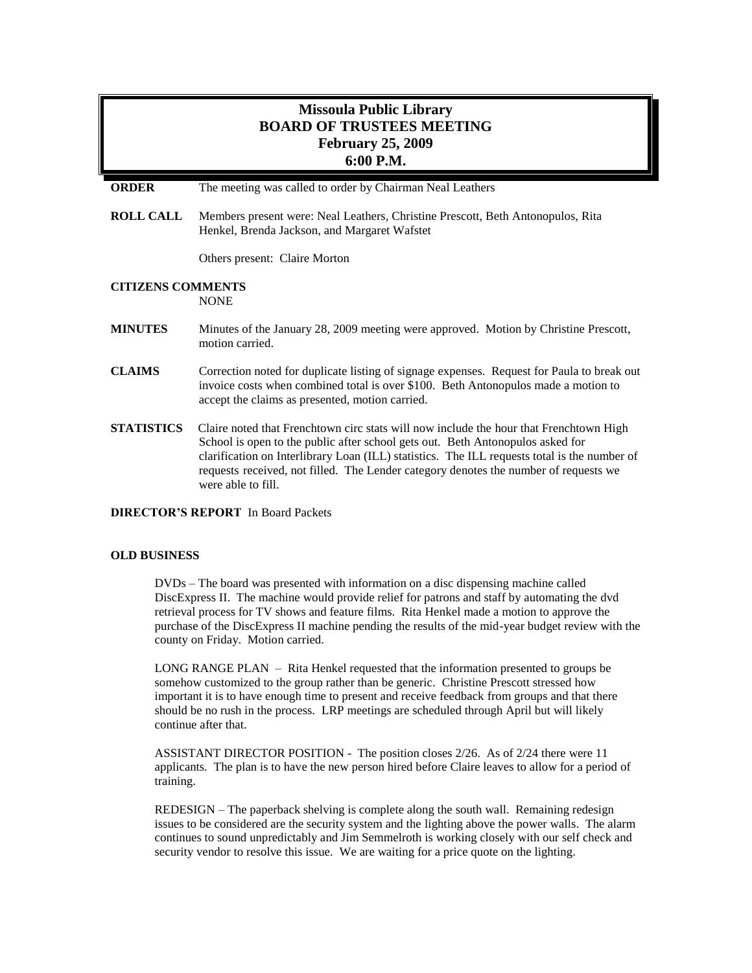# **Missoula Public Library BOARD OF TRUSTEES MEETING February 25, 2009 6:00 P.M.**

**ORDER** The meeting was called to order by Chairman Neal Leathers

**ROLL CALL** Members present were: Neal Leathers, Christine Prescott, Beth Antonopulos, Rita Henkel, Brenda Jackson, and Margaret Wafstet

Others present: Claire Morton

## **CITIZENS COMMENTS**

NONE

- **MINUTES** Minutes of the January 28, 2009 meeting were approved. Motion by Christine Prescott, motion carried.
- **CLAIMS** Correction noted for duplicate listing of signage expenses. Request for Paula to break out invoice costs when combined total is over \$100. Beth Antonopulos made a motion to accept the claims as presented, motion carried.
- **STATISTICS** Claire noted that Frenchtown circ stats will now include the hour that Frenchtown High School is open to the public after school gets out. Beth Antonopulos asked for clarification on Interlibrary Loan (ILL) statistics. The ILL requests total is the number of requests received, not filled. The Lender category denotes the number of requests we were able to fill.

### **DIRECTOR'S REPORT** In Board Packets

#### **OLD BUSINESS**

DVDs – The board was presented with information on a disc dispensing machine called DiscExpress II. The machine would provide relief for patrons and staff by automating the dvd retrieval process for TV shows and feature films. Rita Henkel made a motion to approve the purchase of the DiscExpress II machine pending the results of the mid-year budget review with the county on Friday. Motion carried.

LONG RANGE PLAN – Rita Henkel requested that the information presented to groups be somehow customized to the group rather than be generic. Christine Prescott stressed how important it is to have enough time to present and receive feedback from groups and that there should be no rush in the process. LRP meetings are scheduled through April but will likely continue after that.

ASSISTANT DIRECTOR POSITION - The position closes 2/26. As of 2/24 there were 11 applicants. The plan is to have the new person hired before Claire leaves to allow for a period of training.

REDESIGN – The paperback shelving is complete along the south wall. Remaining redesign issues to be considered are the security system and the lighting above the power walls. The alarm continues to sound unpredictably and Jim Semmelroth is working closely with our self check and security vendor to resolve this issue. We are waiting for a price quote on the lighting.